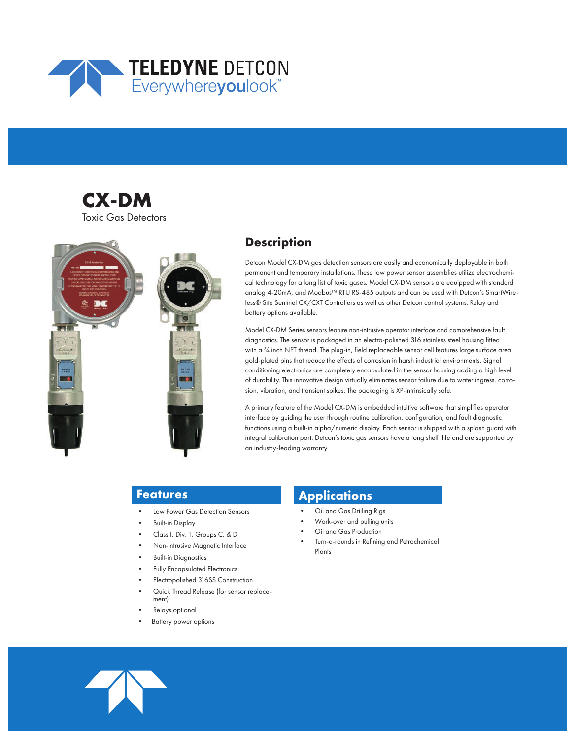





# **Description**

Detcon Model CX-DM gas detection sensors are easily and economically deployable in both permanent and temporary installations. These low power sensor assemblies utilize electrochemical technology for a long list of toxic gases. Model CX-DM sensors are equipped with standard analog 4-20mA, and Modbus™ RTU RS-485 outputs and can be used with Detcon's SmartWireless® Site Sentinel CX/CXT Controllers as well as other Detcon control systems. Relay and battery options available.

Model CX-DM Series sensors feature non-intrusive operator interface and comprehensive fault diagnostics. The sensor is packaged in an electro-polished 316 stainless steel housing fitted with a 34 inch NPT thread. The plug-in, field replaceable sensor cell features large surface area gold-plated pins that reduce the effects of corrosion in harsh industrial environments. Signal conditioning electronics are completely encapsulated in the sensor housing adding a high level of durability. This innovative design virtually eliminates sensor failure due to water ingress, corrosion, vibration, and transient spikes. The packaging is XP-intrinsically safe.

A primary feature of the Model CX-DM is embedded intuitive software that simplifies operator interface by guiding the user through routine calibration, configuration, and fault diagnostic functions using a built-in alpha/numeric display. Each sensor is shipped with a splash guard with integral calibration port. Detcon's toxic gas sensors have a long shelf life and are supported by an industry-leading warranty.

# **Features**

- Low Power Gas Detection Sensors
- Built-in Display
- Class I, Div. 1, Groups C, & D
- Non-intrusive Magnetic Interface
- Built-in Diagnostics
- Fully Encapsulated Electronics
- Electropolished 316SS Construction
- Quick Thread Release (for sensor replacement)
- Relays optional
- Battery power options

# **Applications**

- Oil and Gas Drilling Rigs
- Work-over and pulling units
- Oil and Gas Production
- Turn-a-rounds in Refining and Petrochemical Plants